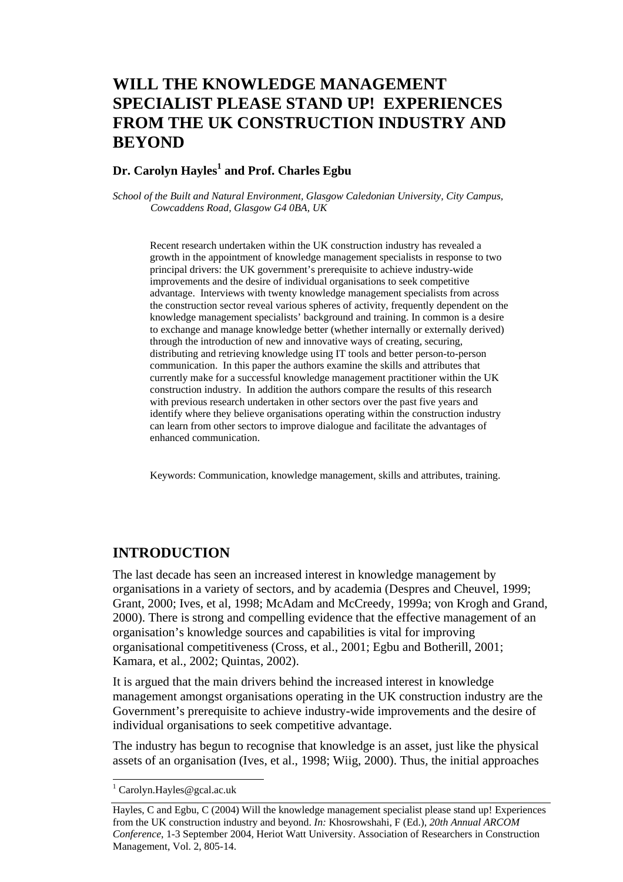# **WILL THE KNOWLEDGE MANAGEMENT SPECIALIST PLEASE STAND UP! EXPERIENCES FROM THE UK CONSTRUCTION INDUSTRY AND BEYOND**

## Dr. Carolyn Hayles<sup>1</sup> and Prof. Charles Egbu

*School of the Built and Natural Environment, Glasgow Caledonian University, City Campus, Cowcaddens Road, Glasgow G4 0BA, UK* 

Recent research undertaken within the UK construction industry has revealed a growth in the appointment of knowledge management specialists in response to two principal drivers: the UK government's prerequisite to achieve industry-wide improvements and the desire of individual organisations to seek competitive advantage. Interviews with twenty knowledge management specialists from across the construction sector reveal various spheres of activity, frequently dependent on the knowledge management specialists' background and training. In common is a desire to exchange and manage knowledge better (whether internally or externally derived) through the introduction of new and innovative ways of creating, securing, distributing and retrieving knowledge using IT tools and better person-to-person communication. In this paper the authors examine the skills and attributes that currently make for a successful knowledge management practitioner within the UK construction industry. In addition the authors compare the results of this research with previous research undertaken in other sectors over the past five years and identify where they believe organisations operating within the construction industry can learn from other sectors to improve dialogue and facilitate the advantages of enhanced communication.

Keywords: Communication, knowledge management, skills and attributes, training.

## **INTRODUCTION**

The last decade has seen an increased interest in knowledge management by organisations in a variety of sectors, and by academia (Despres and Cheuvel, 1999; Grant, 2000; Ives, et al, 1998; McAdam and McCreedy, 1999a; von Krogh and Grand, 2000). There is strong and compelling evidence that the effective management of an organisation's knowledge sources and capabilities is vital for improving organisational competitiveness (Cross, et al., 2001; Egbu and Botherill, 2001; Kamara, et al., 2002; Quintas, 2002).

It is argued that the main drivers behind the increased interest in knowledge management amongst organisations operating in the UK construction industry are the Government's prerequisite to achieve industry-wide improvements and the desire of individual organisations to seek competitive advantage.

The industry has begun to recognise that knowledge is an asset, just like the physical assets of an organisation (Ives, et al., 1998; Wiig, 2000). Thus, the initial approaches

l

<sup>&</sup>lt;sup>1</sup> Carolyn.Hayles@gcal.ac.uk

Hayles, C and Egbu, C (2004) Will the knowledge management specialist please stand up! Experiences from the UK construction industry and beyond. *In:* Khosrowshahi, F (Ed.), *20th Annual ARCOM Conference*, 1-3 September 2004, Heriot Watt University. Association of Researchers in Construction Management, Vol. 2, 805-14.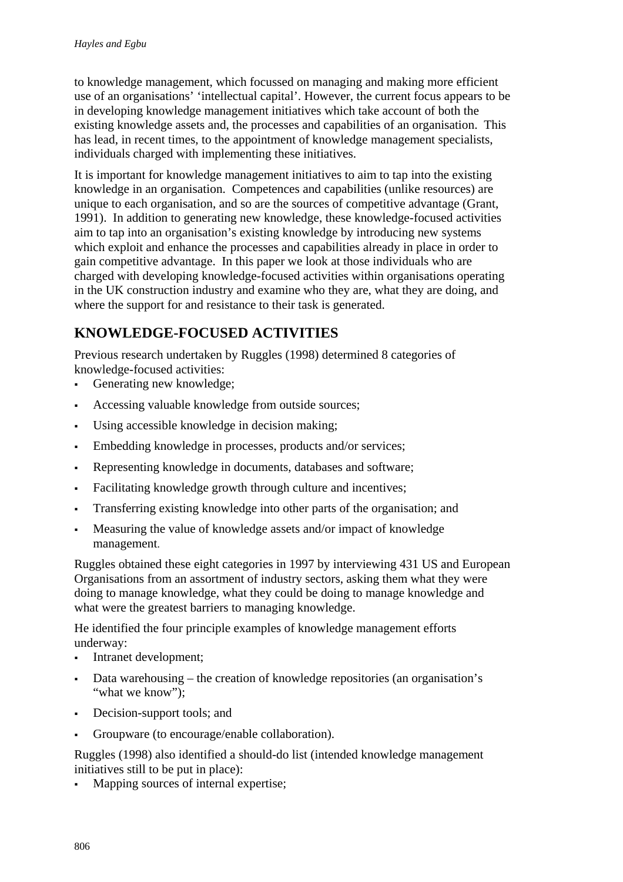to knowledge management, which focussed on managing and making more efficient use of an organisations' 'intellectual capital'. However, the current focus appears to be in developing knowledge management initiatives which take account of both the existing knowledge assets and, the processes and capabilities of an organisation. This has lead, in recent times, to the appointment of knowledge management specialists, individuals charged with implementing these initiatives.

It is important for knowledge management initiatives to aim to tap into the existing knowledge in an organisation. Competences and capabilities (unlike resources) are unique to each organisation, and so are the sources of competitive advantage (Grant, 1991). In addition to generating new knowledge, these knowledge-focused activities aim to tap into an organisation's existing knowledge by introducing new systems which exploit and enhance the processes and capabilities already in place in order to gain competitive advantage. In this paper we look at those individuals who are charged with developing knowledge-focused activities within organisations operating in the UK construction industry and examine who they are, what they are doing, and where the support for and resistance to their task is generated.

# **KNOWLEDGE-FOCUSED ACTIVITIES**

Previous research undertaken by Ruggles (1998) determined 8 categories of knowledge-focused activities:

- Generating new knowledge;
- Accessing valuable knowledge from outside sources;
- Using accessible knowledge in decision making;
- Embedding knowledge in processes, products and/or services;
- Representing knowledge in documents, databases and software;
- Facilitating knowledge growth through culture and incentives;
- Transferring existing knowledge into other parts of the organisation; and
- Measuring the value of knowledge assets and/or impact of knowledge management.

Ruggles obtained these eight categories in 1997 by interviewing 431 US and European Organisations from an assortment of industry sectors, asking them what they were doing to manage knowledge, what they could be doing to manage knowledge and what were the greatest barriers to managing knowledge.

He identified the four principle examples of knowledge management efforts underway:

- Intranet development;
- Data warehousing the creation of knowledge repositories (an organisation's "what we know");
- Decision-support tools; and
- Groupware (to encourage/enable collaboration).

Ruggles (1998) also identified a should-do list (intended knowledge management initiatives still to be put in place):

Mapping sources of internal expertise;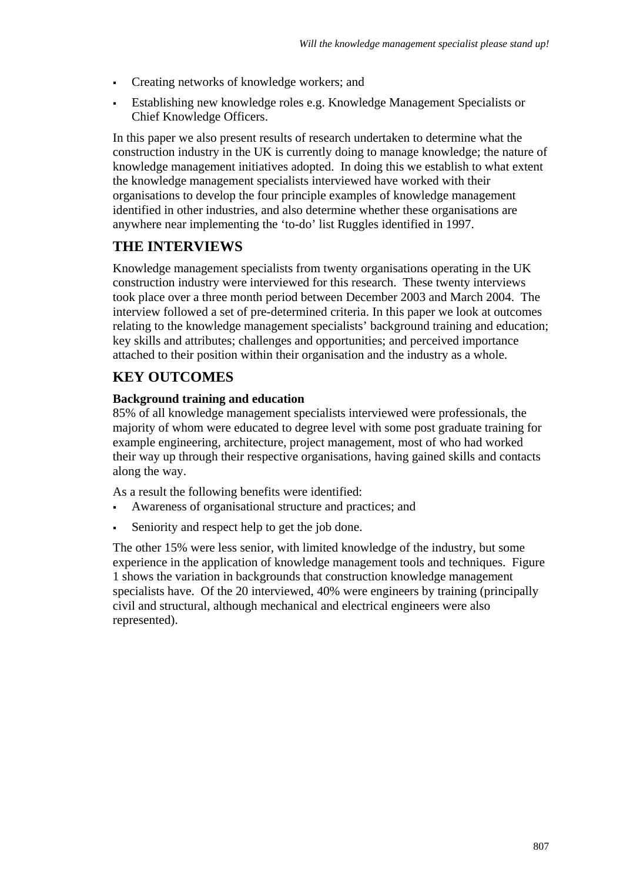- Creating networks of knowledge workers; and
- Establishing new knowledge roles e.g. Knowledge Management Specialists or Chief Knowledge Officers.

In this paper we also present results of research undertaken to determine what the construction industry in the UK is currently doing to manage knowledge; the nature of knowledge management initiatives adopted. In doing this we establish to what extent the knowledge management specialists interviewed have worked with their organisations to develop the four principle examples of knowledge management identified in other industries, and also determine whether these organisations are anywhere near implementing the 'to-do' list Ruggles identified in 1997.

## **THE INTERVIEWS**

Knowledge management specialists from twenty organisations operating in the UK construction industry were interviewed for this research. These twenty interviews took place over a three month period between December 2003 and March 2004. The interview followed a set of pre-determined criteria. In this paper we look at outcomes relating to the knowledge management specialists' background training and education; key skills and attributes; challenges and opportunities; and perceived importance attached to their position within their organisation and the industry as a whole.

## **KEY OUTCOMES**

## **Background training and education**

85% of all knowledge management specialists interviewed were professionals, the majority of whom were educated to degree level with some post graduate training for example engineering, architecture, project management, most of who had worked their way up through their respective organisations, having gained skills and contacts along the way.

As a result the following benefits were identified:

- Awareness of organisational structure and practices; and
- Seniority and respect help to get the job done.

The other 15% were less senior, with limited knowledge of the industry, but some experience in the application of knowledge management tools and techniques. Figure 1 shows the variation in backgrounds that construction knowledge management specialists have. Of the 20 interviewed, 40% were engineers by training (principally civil and structural, although mechanical and electrical engineers were also represented).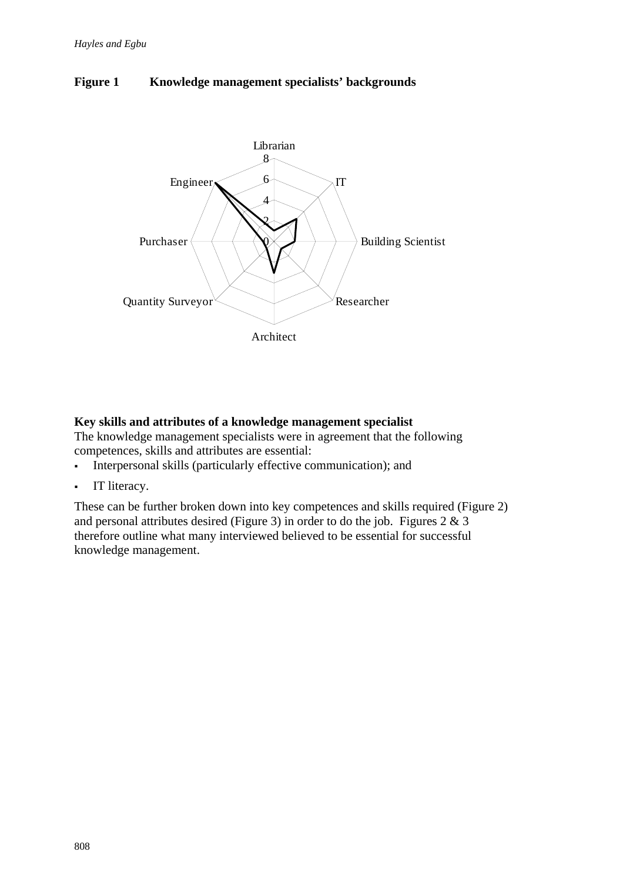



## **Key skills and attributes of a knowledge management specialist**

The knowledge management specialists were in agreement that the following competences, skills and attributes are essential:

- Interpersonal skills (particularly effective communication); and
- **IT literacy.**

These can be further broken down into key competences and skills required (Figure 2) and personal attributes desired (Figure 3) in order to do the job. Figures 2 & 3 therefore outline what many interviewed believed to be essential for successful knowledge management.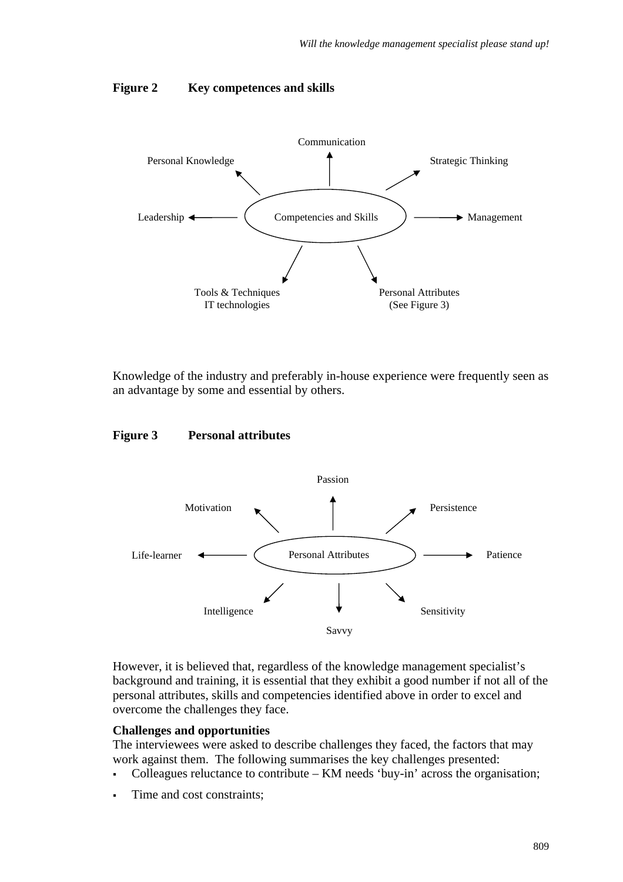#### **Figure 2 Key competences and skills**



Knowledge of the industry and preferably in-house experience were frequently seen as an advantage by some and essential by others.

#### **Figure 3 Personal attributes**



However, it is believed that, regardless of the knowledge management specialist's background and training, it is essential that they exhibit a good number if not all of the personal attributes, skills and competencies identified above in order to excel and overcome the challenges they face.

#### **Challenges and opportunities**

The interviewees were asked to describe challenges they faced, the factors that may work against them. The following summarises the key challenges presented:

- Colleagues reluctance to contribute KM needs 'buy-in' across the organisation;
- Time and cost constraints;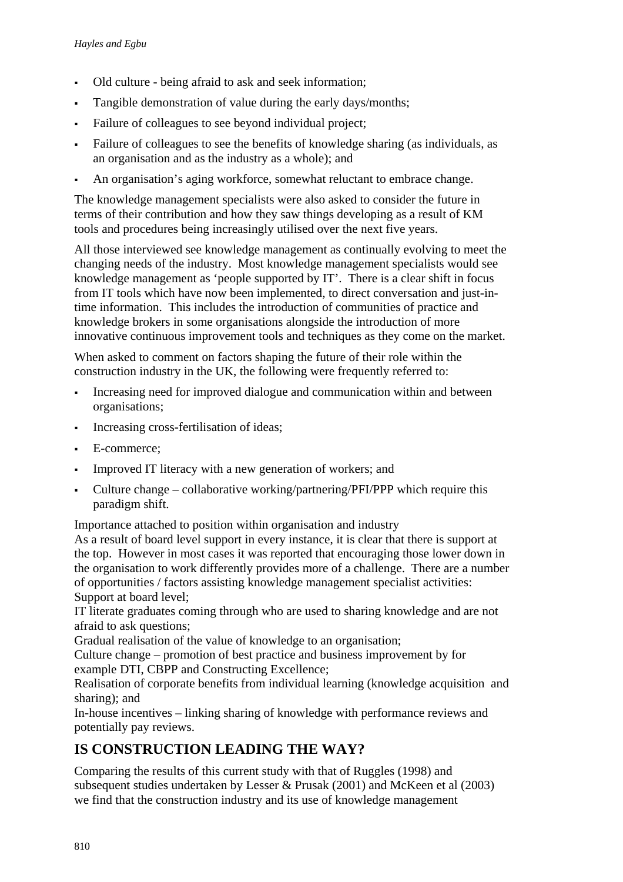- Old culture being afraid to ask and seek information;
- Tangible demonstration of value during the early days/months;
- Failure of colleagues to see beyond individual project;
- Failure of colleagues to see the benefits of knowledge sharing (as individuals, as an organisation and as the industry as a whole); and
- An organisation's aging workforce, somewhat reluctant to embrace change.

The knowledge management specialists were also asked to consider the future in terms of their contribution and how they saw things developing as a result of KM tools and procedures being increasingly utilised over the next five years.

All those interviewed see knowledge management as continually evolving to meet the changing needs of the industry. Most knowledge management specialists would see knowledge management as 'people supported by IT'. There is a clear shift in focus from IT tools which have now been implemented, to direct conversation and just-intime information. This includes the introduction of communities of practice and knowledge brokers in some organisations alongside the introduction of more innovative continuous improvement tools and techniques as they come on the market.

When asked to comment on factors shaping the future of their role within the construction industry in the UK, the following were frequently referred to:

- Increasing need for improved dialogue and communication within and between organisations;
- Increasing cross-fertilisation of ideas;
- E-commerce;
- Improved IT literacy with a new generation of workers; and
- Culture change collaborative working/partnering/PFI/PPP which require this paradigm shift.

Importance attached to position within organisation and industry

As a result of board level support in every instance, it is clear that there is support at the top. However in most cases it was reported that encouraging those lower down in the organisation to work differently provides more of a challenge. There are a number of opportunities / factors assisting knowledge management specialist activities: Support at board level;

IT literate graduates coming through who are used to sharing knowledge and are not afraid to ask questions;

Gradual realisation of the value of knowledge to an organisation;

Culture change – promotion of best practice and business improvement by for example DTI, CBPP and Constructing Excellence;

Realisation of corporate benefits from individual learning (knowledge acquisition and sharing); and

In-house incentives – linking sharing of knowledge with performance reviews and potentially pay reviews.

## **IS CONSTRUCTION LEADING THE WAY?**

Comparing the results of this current study with that of Ruggles (1998) and subsequent studies undertaken by Lesser & Prusak (2001) and McKeen et al (2003) we find that the construction industry and its use of knowledge management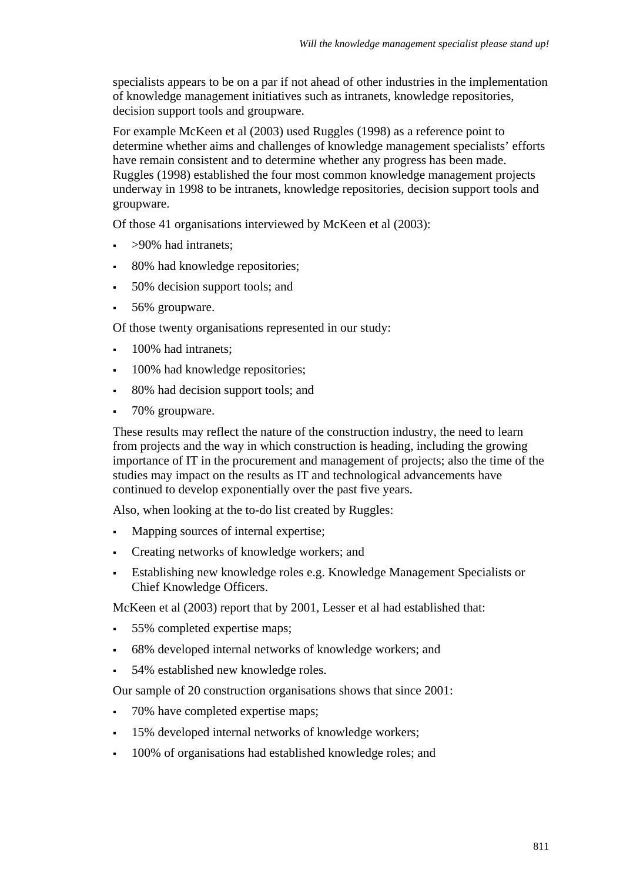specialists appears to be on a par if not ahead of other industries in the implementation of knowledge management initiatives such as intranets, knowledge repositories, decision support tools and groupware.

For example McKeen et al (2003) used Ruggles (1998) as a reference point to determine whether aims and challenges of knowledge management specialists' efforts have remain consistent and to determine whether any progress has been made. Ruggles (1998) established the four most common knowledge management projects underway in 1998 to be intranets, knowledge repositories, decision support tools and groupware.

Of those 41 organisations interviewed by McKeen et al (2003):

- >90% had intranets;
- 80% had knowledge repositories;
- 50% decision support tools; and
- 56% groupware.

Of those twenty organisations represented in our study:

- **100% had intranets:**
- 100% had knowledge repositories;
- 80% had decision support tools; and
- 70% groupware.

These results may reflect the nature of the construction industry, the need to learn from projects and the way in which construction is heading, including the growing importance of IT in the procurement and management of projects; also the time of the studies may impact on the results as IT and technological advancements have continued to develop exponentially over the past five years.

Also, when looking at the to-do list created by Ruggles:

- Mapping sources of internal expertise;
- Creating networks of knowledge workers; and
- Establishing new knowledge roles e.g. Knowledge Management Specialists or Chief Knowledge Officers.

McKeen et al (2003) report that by 2001, Lesser et al had established that:

- 55% completed expertise maps;
- 68% developed internal networks of knowledge workers; and
- 54% established new knowledge roles.

Our sample of 20 construction organisations shows that since 2001:

- 70% have completed expertise maps;
- 15% developed internal networks of knowledge workers;
- 100% of organisations had established knowledge roles; and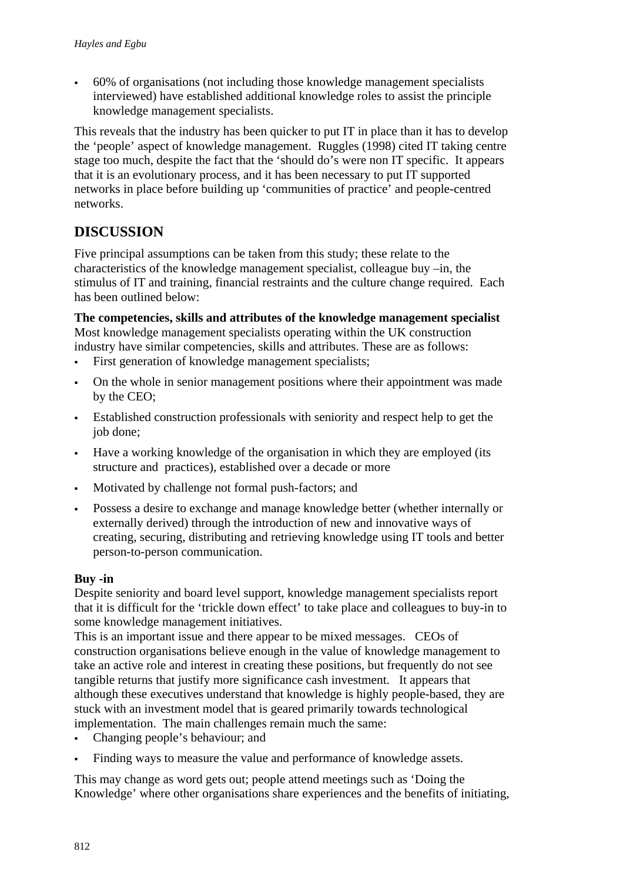60% of organisations (not including those knowledge management specialists interviewed) have established additional knowledge roles to assist the principle knowledge management specialists.

This reveals that the industry has been quicker to put IT in place than it has to develop the 'people' aspect of knowledge management. Ruggles (1998) cited IT taking centre stage too much, despite the fact that the 'should do's were non IT specific. It appears that it is an evolutionary process, and it has been necessary to put IT supported networks in place before building up 'communities of practice' and people-centred networks.

# **DISCUSSION**

Five principal assumptions can be taken from this study; these relate to the characteristics of the knowledge management specialist, colleague buy –in, the stimulus of IT and training, financial restraints and the culture change required. Each has been outlined below:

**The competencies, skills and attributes of the knowledge management specialist**  Most knowledge management specialists operating within the UK construction industry have similar competencies, skills and attributes. These are as follows:

- First generation of knowledge management specialists;
- On the whole in senior management positions where their appointment was made by the CEO;
- Established construction professionals with seniority and respect help to get the job done;
- Have a working knowledge of the organisation in which they are employed (its structure and practices), established over a decade or more
- Motivated by challenge not formal push-factors; and
- Possess a desire to exchange and manage knowledge better (whether internally or externally derived) through the introduction of new and innovative ways of creating, securing, distributing and retrieving knowledge using IT tools and better person-to-person communication.

## **Buy -in**

Despite seniority and board level support, knowledge management specialists report that it is difficult for the 'trickle down effect' to take place and colleagues to buy-in to some knowledge management initiatives.

This is an important issue and there appear to be mixed messages. CEOs of construction organisations believe enough in the value of knowledge management to take an active role and interest in creating these positions, but frequently do not see tangible returns that justify more significance cash investment. It appears that although these executives understand that knowledge is highly people-based, they are stuck with an investment model that is geared primarily towards technological implementation. The main challenges remain much the same:

- Changing people's behaviour; and
- Finding ways to measure the value and performance of knowledge assets.

This may change as word gets out; people attend meetings such as 'Doing the Knowledge' where other organisations share experiences and the benefits of initiating,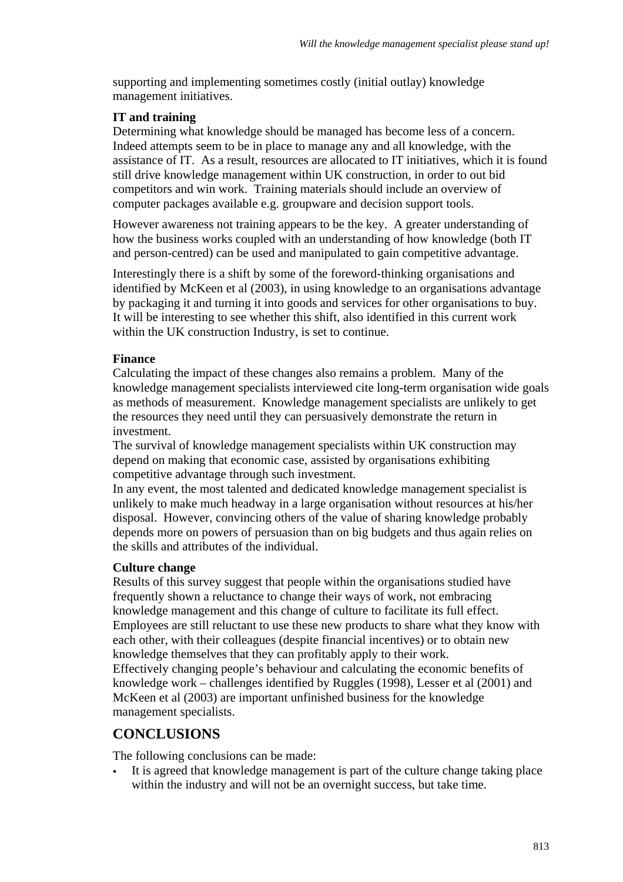supporting and implementing sometimes costly (initial outlay) knowledge management initiatives.

### **IT and training**

Determining what knowledge should be managed has become less of a concern. Indeed attempts seem to be in place to manage any and all knowledge, with the assistance of IT. As a result, resources are allocated to IT initiatives, which it is found still drive knowledge management within UK construction, in order to out bid competitors and win work. Training materials should include an overview of computer packages available e.g. groupware and decision support tools.

However awareness not training appears to be the key. A greater understanding of how the business works coupled with an understanding of how knowledge (both IT and person-centred) can be used and manipulated to gain competitive advantage.

Interestingly there is a shift by some of the foreword-thinking organisations and identified by McKeen et al (2003), in using knowledge to an organisations advantage by packaging it and turning it into goods and services for other organisations to buy. It will be interesting to see whether this shift, also identified in this current work within the UK construction Industry, is set to continue.

#### **Finance**

Calculating the impact of these changes also remains a problem. Many of the knowledge management specialists interviewed cite long-term organisation wide goals as methods of measurement. Knowledge management specialists are unlikely to get the resources they need until they can persuasively demonstrate the return in investment.

The survival of knowledge management specialists within UK construction may depend on making that economic case, assisted by organisations exhibiting competitive advantage through such investment.

In any event, the most talented and dedicated knowledge management specialist is unlikely to make much headway in a large organisation without resources at his/her disposal. However, convincing others of the value of sharing knowledge probably depends more on powers of persuasion than on big budgets and thus again relies on the skills and attributes of the individual.

#### **Culture change**

Results of this survey suggest that people within the organisations studied have frequently shown a reluctance to change their ways of work, not embracing knowledge management and this change of culture to facilitate its full effect. Employees are still reluctant to use these new products to share what they know with each other, with their colleagues (despite financial incentives) or to obtain new knowledge themselves that they can profitably apply to their work. Effectively changing people's behaviour and calculating the economic benefits of knowledge work – challenges identified by Ruggles (1998), Lesser et al (2001) and McKeen et al (2003) are important unfinished business for the knowledge management specialists.

## **CONCLUSIONS**

The following conclusions can be made:

 It is agreed that knowledge management is part of the culture change taking place within the industry and will not be an overnight success, but take time.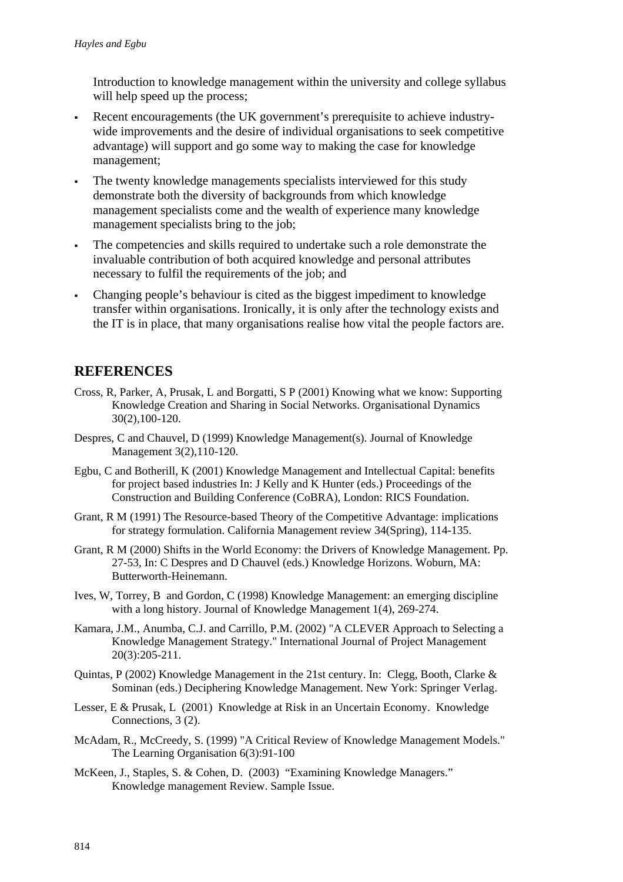Introduction to knowledge management within the university and college syllabus will help speed up the process;

- Recent encouragements (the UK government's prerequisite to achieve industrywide improvements and the desire of individual organisations to seek competitive advantage) will support and go some way to making the case for knowledge management;
- The twenty knowledge managements specialists interviewed for this study demonstrate both the diversity of backgrounds from which knowledge management specialists come and the wealth of experience many knowledge management specialists bring to the job;
- The competencies and skills required to undertake such a role demonstrate the invaluable contribution of both acquired knowledge and personal attributes necessary to fulfil the requirements of the job; and
- Changing people's behaviour is cited as the biggest impediment to knowledge transfer within organisations. Ironically, it is only after the technology exists and the IT is in place, that many organisations realise how vital the people factors are.

## **REFERENCES**

- Cross, R, Parker, A, Prusak, L and Borgatti, S P (2001) Knowing what we know: Supporting Knowledge Creation and Sharing in Social Networks. Organisational Dynamics 30(2),100-120.
- Despres, C and Chauvel, D (1999) Knowledge Management(s). Journal of Knowledge Management 3(2),110-120.
- Egbu, C and Botherill, K (2001) Knowledge Management and Intellectual Capital: benefits for project based industries In: J Kelly and K Hunter (eds.) Proceedings of the Construction and Building Conference (CoBRA), London: RICS Foundation.
- Grant, R M (1991) The Resource-based Theory of the Competitive Advantage: implications for strategy formulation. California Management review 34(Spring), 114-135.
- Grant, R M (2000) Shifts in the World Economy: the Drivers of Knowledge Management. Pp. 27-53, In: C Despres and D Chauvel (eds.) Knowledge Horizons. Woburn, MA: Butterworth-Heinemann.
- Ives, W, Torrey, B and Gordon, C (1998) Knowledge Management: an emerging discipline with a long history. Journal of Knowledge Management 1(4), 269-274.
- Kamara, J.M., Anumba, C.J. and Carrillo, P.M. (2002) "A CLEVER Approach to Selecting a Knowledge Management Strategy." International Journal of Project Management 20(3):205-211.
- Quintas, P (2002) Knowledge Management in the 21st century. In: Clegg, Booth, Clarke & Sominan (eds.) Deciphering Knowledge Management. New York: Springer Verlag.
- Lesser, E & Prusak, L (2001) Knowledge at Risk in an Uncertain Economy. Knowledge Connections, 3 (2).
- McAdam, R., McCreedy, S. (1999) "A Critical Review of Knowledge Management Models." The Learning Organisation 6(3):91-100
- McKeen, J., Staples, S. & Cohen, D. (2003) "Examining Knowledge Managers." Knowledge management Review. Sample Issue.